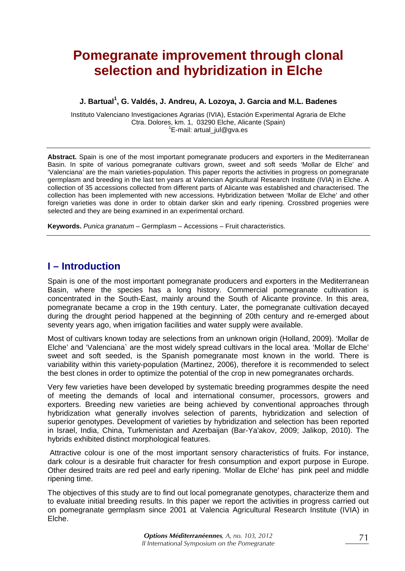# **Pomegranate improvement through clonal selection and hybridization in Elche**

#### **J. Bartual1 , G. Valdés, J. Andreu, A. Lozoya, J. Garcia and M.L. Badenes**

Instituto Valenciano Investigaciones Agrarias (IVIA), Estación Experimental Agraria de Elche Ctra. Dolores, km. 1, 03290 Elche, Alicante (Spain) 1  $E$ -mail: artual jul@gva.es

**Abstract.** Spain is one of the most important pomegranate producers and exporters in the Mediterranean Basin. In spite of various pomegranate cultivars grown, sweet and soft seeds 'Mollar de Elche' and 'Valenciana' are the main varieties-population. This paper reports the activities in progress on pomegranate germplasm and breeding in the last ten years at Valencian Agricultural Research Institute (IVIA) in Elche. A collection of 35 accessions collected from different parts of Alicante was established and characterised. The collection has been implemented with new accessions. Hybridization between 'Mollar de Elche' and other foreign varieties was done in order to obtain darker skin and early ripening. Crossbred progenies were selected and they are being examined in an experimental orchard.

**Keywords.** *Punica granatum* – Germplasm – Accessions – Fruit characteristics.

## **I – Introduction**

Spain is one of the most important pomegranate producers and exporters in the Mediterranean Basin, where the species has a long history. Commercial pomegranate cultivation is concentrated in the South-East, mainly around the South of Alicante province. In this area, pomegranate became a crop in the 19th century. Later, the pomegranate cultivation decayed during the drought period happened at the beginning of 20th century and re-emerged about seventy years ago, when irrigation facilities and water supply were available.

Most of cultivars known today are selections from an unknown origin (Holland, 2009). 'Mollar de Elche' and 'Valenciana` are the most widely spread cultivars in the local area. 'Mollar de Elche' sweet and soft seeded, is the Spanish pomegranate most known in the world. There is variability within this variety-population (Martinez, 2006), therefore it is recommended to select the best clones in order to optimize the potential of the crop in new pomegranates orchards.

Very few varieties have been developed by systematic breeding programmes despite the need of meeting the demands of local and international consumer, processors, growers and exporters. Breeding new varieties are being achieved by conventional approaches through hybridization what generally involves selection of parents, hybridization and selection of superior genotypes. Development of varieties by hybridization and selection has been reported in Israel, India, China, Turkmenistan and Azerbaijan (Bar-Ya'akov, 2009; Jalikop, 2010). The hybrids exhibited distinct morphological features.

 Attractive colour is one of the most important sensory characteristics of fruits. For instance, dark colour is a desirable fruit character for fresh consumption and export purpose in Europe. Other desired traits are red peel and early ripening. 'Mollar de Elche' has pink peel and middle ripening time.

The objectives of this study are to find out local pomegranate genotypes, characterize them and to evaluate initial breeding results. In this paper we report the activities in progress carried out on pomegranate germplasm since 2001 at Valencia Agricultural Research Institute (IVIA) in Elche.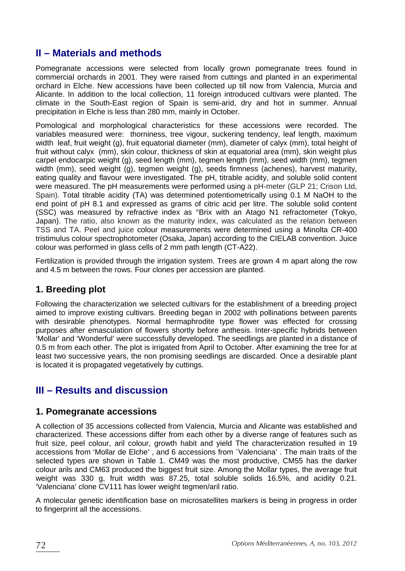## **II – Materials and methods**

Pomegranate accessions were selected from locally grown pomegranate trees found in commercial orchards in 2001. They were raised from cuttings and planted in an experimental orchard in Elche. New accessions have been collected up till now from Valencia, Murcia and Alicante. In addition to the local collection, 11 foreign introduced cultivars were planted. The climate in the South-East region of Spain is semi-arid, dry and hot in summer. Annual precipitation in Elche is less than 280 mm, mainly in October.

Pomological and morphological characteristics for these accessions were recorded. The variables measured were: thorniness, tree vigour, suckering tendency, leaf length, maximum width leaf, fruit weight (g), fruit equatorial diameter (mm), diameter of calyx (mm), total height of fruit without calyx (mm), skin colour, thickness of skin at equatorial area (mm), skin weight plus carpel endocarpic weight (g), seed length (mm), tegmen length (mm), seed width (mm), tegmen width (mm), seed weight (g), tegmen weight (g), seeds firmness (achenes), harvest maturity, eating quality and flavour were investigated. The pH, titrable acidity, and soluble solid content were measured. The pH measurements were performed using a pH-meter (GLP 21; Crison Ltd, Spain). Total titrable acidity (TA) was determined potentiometrically using 0.1 M NaOH to the end point of pH 8.1 and expressed as grams of citric acid per litre. The soluble solid content (SSC) was measured by refractive index as °Brix with an Atago N1 refractometer (Tokyo, Japan). The ratio, also known as the maturity index, was calculated as the relation between TSS and TA. Peel and juice colour measurements were determined using a Minolta CR-400 tristimulus colour spectrophotometer (Osaka, Japan) according to the CIELAB convention. Juice colour was performed in glass cells of 2 mm path length (CT-A22).

Fertilization is provided through the irrigation system. Trees are grown 4 m apart along the row and 4.5 m between the rows. Four clones per accession are planted.

#### **1. Breeding plot**

Following the characterization we selected cultivars for the establishment of a breeding project aimed to improve existing cultivars. Breeding began in 2002 with pollinations between parents with desirable phenotypes. Normal hermaphrodite type flower was effected for crossing purposes after emasculation of flowers shortly before anthesis. Inter-specific hybrids between 'Mollar' and 'Wonderful' were successfully developed. The seedlings are planted in a distance of 0.5 m from each other. The plot is irrigated from April to October. After examining the tree for at least two successive years, the non promising seedlings are discarded. Once a desirable plant is located it is propagated vegetatively by cuttings.

## **III – Results and discussion**

#### **1. Pomegranate accessions**

A collection of 35 accessions collected from Valencia, Murcia and Alicante was established and characterized. These accessions differ from each other by a diverse range of features such as fruit size, peel colour, aril colour, growth habit and yield The characterization resulted in 19 accessions from 'Mollar de Elche' , and 6 accessions from ´Valenciana' . The main traits of the selected types are shown in Table 1. CM49 was the most productive, CM55 has the darker colour arils and CM63 produced the biggest fruit size. Among the Mollar types, the average fruit weight was 330 g, fruit width was 87.25, total soluble solids 16.5%, and acidity 0.21. 'Valenciana' clone CV111 has lower weight tegmen/aril ratio.

A molecular genetic identification base on microsatellites markers is being in progress in order to fingerprint all the accessions.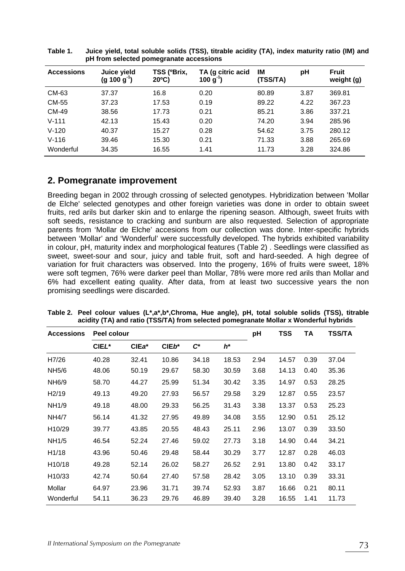| <b>Accessions</b> | Juice yield<br>$(g 100 g-1)$ | TSS (°Brix,<br>$20^{\circ}$ C) | TA (g citric acid<br>100 g' | IM<br>(TSS/TA) | рH   | <b>Fruit</b><br>weight (g) |
|-------------------|------------------------------|--------------------------------|-----------------------------|----------------|------|----------------------------|
| CM-63             | 37.37                        | 16.8                           | 0.20                        | 80.89          | 3.87 | 369.81                     |
| CM-55             | 37.23                        | 17.53                          | 0.19                        | 89.22          | 4.22 | 367.23                     |
| CM-49             | 38.56                        | 17.73                          | 0.21                        | 85.21          | 3.86 | 337.21                     |
| $V - 111$         | 42.13                        | 15.43                          | 0.20                        | 74.20          | 3.94 | 285.96                     |
| $V - 120$         | 40.37                        | 15.27                          | 0.28                        | 54.62          | 3.75 | 280.12                     |
| $V - 116$         | 39.46                        | 15.30                          | 0.21                        | 71.33          | 3.88 | 265.69                     |
| Wonderful         | 34.35                        | 16.55                          | 1.41                        | 11.73          | 3.28 | 324.86                     |

**Table 1. Juice yield, total soluble solids (TSS), titrable acidity (TA), index maturity ratio (IM) and pH from selected pomegranate accessions** 

### **2. Pomegranate improvement**

Breeding began in 2002 through crossing of selected genotypes. Hybridization between 'Mollar de Elche' selected genotypes and other foreign varieties was done in order to obtain sweet fruits, red arils but darker skin and to enlarge the ripening season. Although, sweet fruits with soft seeds, resistance to cracking and sunburn are also requested. Selection of appropriate parents from 'Mollar de Elche' accesions from our collection was done. Inter-specific hybrids between 'Mollar' and 'Wonderful' were successfully developed*.* The hybrids exhibited variability in colour, pH, maturity index and morphological features (Table 2) . Seedlings were classified as sweet, sweet-sour and sour, juicy and table fruit, soft and hard-seeded. A high degree of variation for fruit characters was observed. Into the progeny, 16% of fruits were sweet, 18% were soft tegmen, 76% were darker peel than Mollar, 78% were more red arils than Mollar and 6% had excellent eating quality. After data, from at least two successive years the non promising seedlings were discarded.

| <b>Accessions</b>   | Peel colour |       |         |                 |       |      | TSS   | TA   | <b>TSS/TA</b> |
|---------------------|-------------|-------|---------|-----------------|-------|------|-------|------|---------------|
|                     | CIEL*       | CIEa* | $CIEb*$ | $\mathcal{C}^*$ | $h^*$ |      |       |      |               |
| H7/26               | 40.28       | 32.41 | 10.86   | 34.18           | 18.53 | 2.94 | 14.57 | 0.39 | 37.04         |
| NH5/6               | 48.06       | 50.19 | 29.67   | 58.30           | 30.59 | 3.68 | 14.13 | 0.40 | 35.36         |
| NH <sub>6</sub> /9  | 58.70       | 44.27 | 25.99   | 51.34           | 30.42 | 3.35 | 14.97 | 0.53 | 28.25         |
| H <sub>2</sub> /19  | 49.13       | 49.20 | 27.93   | 56.57           | 29.58 | 3.29 | 12.87 | 0.55 | 23.57         |
| NH1/9               | 49.18       | 48.00 | 29.33   | 56.25           | 31.43 | 3.38 | 13.37 | 0.53 | 25.23         |
| <b>NH4/7</b>        | 56.14       | 41.32 | 27.95   | 49.89           | 34.08 | 3.55 | 12.90 | 0.51 | 25.12         |
| H10/29              | 39.77       | 43.85 | 20.55   | 48.43           | 25.11 | 2.96 | 13.07 | 0.39 | 33.50         |
| NH1/5               | 46.54       | 52.24 | 27.46   | 59.02           | 27.73 | 3.18 | 14.90 | 0.44 | 34.21         |
| H <sub>1</sub> /18  | 43.96       | 50.46 | 29.48   | 58.44           | 30.29 | 3.77 | 12.87 | 0.28 | 46.03         |
| H <sub>10</sub> /18 | 49.28       | 52.14 | 26.02   | 58.27           | 26.52 | 2.91 | 13.80 | 0.42 | 33.17         |
| H <sub>10</sub> /33 | 42.74       | 50.64 | 27.40   | 57.58           | 28.42 | 3.05 | 13.10 | 0.39 | 33.31         |
| Mollar              | 64.97       | 23.96 | 31.71   | 39.74           | 52.93 | 3.87 | 16.66 | 0.21 | 80.11         |
| Wonderful           | 54.11       | 36.23 | 29.76   | 46.89           | 39.40 | 3.28 | 16.55 | 1.41 | 11.73         |

**Table 2. Peel colour values (L\*,a\*,b\*,Chroma, Hue angle), pH, total soluble solids (TSS), titrable acidity (TA) and ratio (TSS/TA) from selected pomegranate Mollar x Wonderful hybrids**